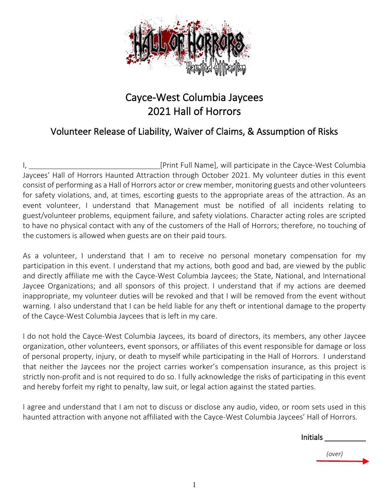

## Cayce-West Columbia Jaycees 2021 Hall of Horrors

## Volunteer Release of Liability, Waiver of Claims, & Assumption of Risks

I, **I** Example 20 IPrint Full Name], will participate in the Cayce-West Columbia Jaycees' Hall of Horrors Haunted Attraction through October 2021. My volunteer duties in this event consist of performing as a Hall of Horrors actor or crew member, monitoring guests and other volunteers for safety violations, and, at times, escorting guests to the appropriate areas of the attraction. As an event volunteer, I understand that Management must be notified of all incidents relating to guest/volunteer problems, equipment failure, and safety violations. Character acting roles are scripted to have no physical contact with any of the customers of the Hall of Horrors; therefore, no touching of the customers is allowed when guests are on their paid tours.

As a volunteer, I understand that I am to receive no personal monetary compensation for my participation in this event. I understand that my actions, both good and bad, are viewed by the public and directly affiliate me with the Cayce-West Columbia Jaycees; the State, National, and International Jaycee Organizations; and all sponsors of this project. I understand that if my actions are deemed inappropriate, my volunteer duties will be revoked and that I will be removed from the event without warning. I also understand that I can be held liable for any theft or intentional damage to the property of the Cayce-West Columbia Jaycees that is left in my care.

I do not hold the Cayce-West Columbia Jaycees, its board of directors, its members, any other Jaycee organization, other volunteers, event sponsors, or affiliates of this event responsible for damage or loss of personal property, injury, or death to myself while participating in the Hall of Horrors. I understand that neither the Jaycees nor the project carries worker's compensation insurance, as this project is strictly non-profit and is not required to do so. I fully acknowledge the risks of participating in this event and hereby forfeit my right to penalty, law suit, or legal action against the stated parties.

I agree and understand that I am not to discuss or disclose any audio, video, or room sets used in this haunted attraction with anyone not affiliated with the Cayce-West Columbia Jaycees' Hall of Horrors.

| <b>Initials</b> |        |  |
|-----------------|--------|--|
|                 | (over) |  |
|                 |        |  |